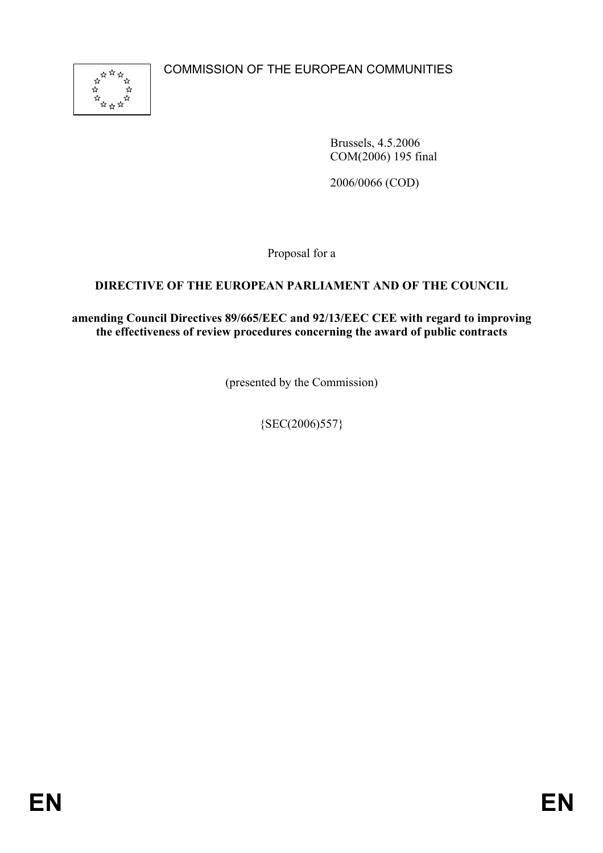COMMISSION OF THE EUROPEAN COMMUNITIES



Brussels, 4.5.2006 COM(2006) 195 final

2006/0066 (COD)

Proposal for a

## **DIRECTIVE OF THE EUROPEAN PARLIAMENT AND OF THE COUNCIL**

**amending Council Directives 89/665/EEC and 92/13/EEC CEE with regard to improving the effectiveness of review procedures concerning the award of public contracts** 

(presented by the Commission)

 ${SEC(2006)557}$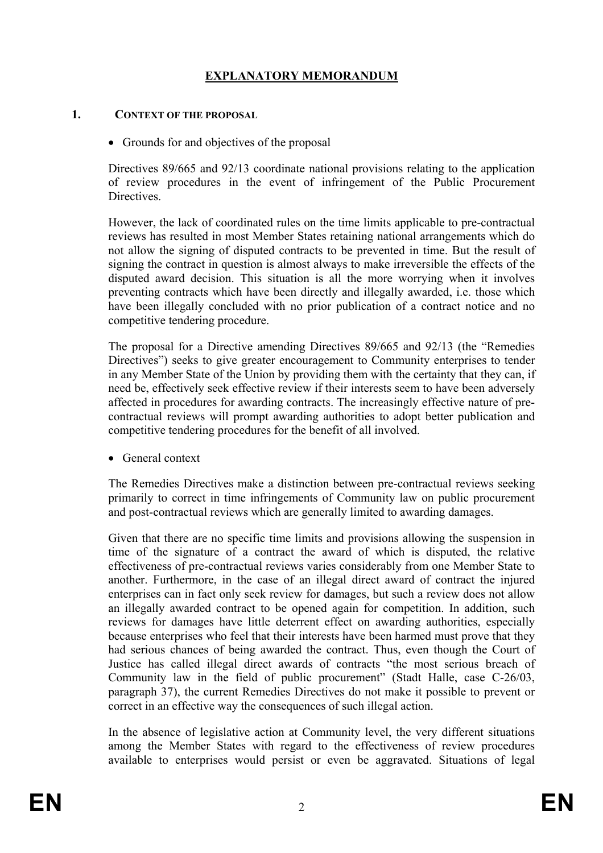# **EXPLANATORY MEMORANDUM**

#### **1. CONTEXT OF THE PROPOSAL**

• Grounds for and objectives of the proposal

Directives 89/665 and 92/13 coordinate national provisions relating to the application of review procedures in the event of infringement of the Public Procurement Directives.

However, the lack of coordinated rules on the time limits applicable to pre-contractual reviews has resulted in most Member States retaining national arrangements which do not allow the signing of disputed contracts to be prevented in time. But the result of signing the contract in question is almost always to make irreversible the effects of the disputed award decision. This situation is all the more worrying when it involves preventing contracts which have been directly and illegally awarded, i.e. those which have been illegally concluded with no prior publication of a contract notice and no competitive tendering procedure.

The proposal for a Directive amending Directives 89/665 and 92/13 (the "Remedies Directives") seeks to give greater encouragement to Community enterprises to tender in any Member State of the Union by providing them with the certainty that they can, if need be, effectively seek effective review if their interests seem to have been adversely affected in procedures for awarding contracts. The increasingly effective nature of precontractual reviews will prompt awarding authorities to adopt better publication and competitive tendering procedures for the benefit of all involved.

• General context

The Remedies Directives make a distinction between pre-contractual reviews seeking primarily to correct in time infringements of Community law on public procurement and post-contractual reviews which are generally limited to awarding damages.

Given that there are no specific time limits and provisions allowing the suspension in time of the signature of a contract the award of which is disputed, the relative effectiveness of pre-contractual reviews varies considerably from one Member State to another. Furthermore, in the case of an illegal direct award of contract the injured enterprises can in fact only seek review for damages, but such a review does not allow an illegally awarded contract to be opened again for competition. In addition, such reviews for damages have little deterrent effect on awarding authorities, especially because enterprises who feel that their interests have been harmed must prove that they had serious chances of being awarded the contract. Thus, even though the Court of Justice has called illegal direct awards of contracts "the most serious breach of Community law in the field of public procurement" (Stadt Halle, case C-26/03, paragraph 37), the current Remedies Directives do not make it possible to prevent or correct in an effective way the consequences of such illegal action.

In the absence of legislative action at Community level, the very different situations among the Member States with regard to the effectiveness of review procedures available to enterprises would persist or even be aggravated. Situations of legal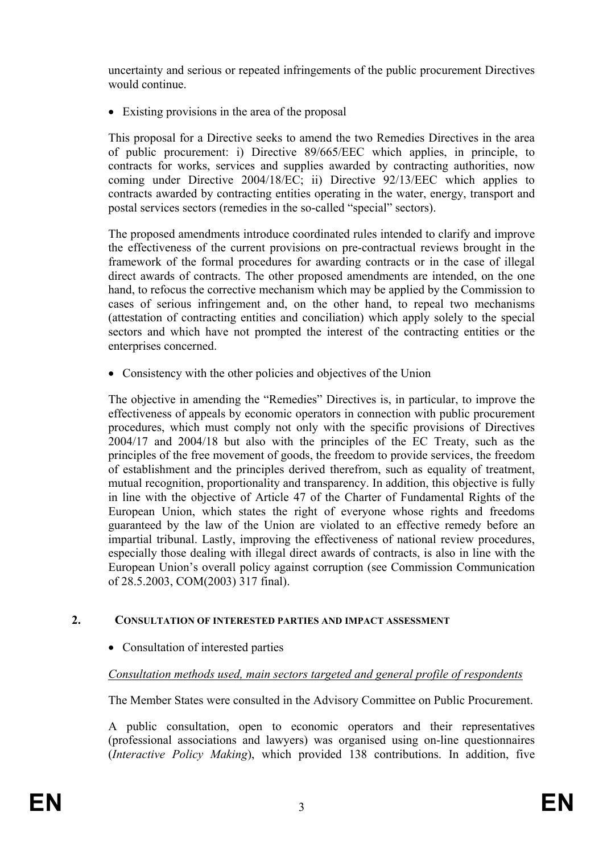uncertainty and serious or repeated infringements of the public procurement Directives would continue.

• Existing provisions in the area of the proposal

This proposal for a Directive seeks to amend the two Remedies Directives in the area of public procurement: i) Directive 89/665/EEC which applies, in principle, to contracts for works, services and supplies awarded by contracting authorities, now coming under Directive 2004/18/EC; ii) Directive 92/13/EEC which applies to contracts awarded by contracting entities operating in the water, energy, transport and postal services sectors (remedies in the so-called "special" sectors).

The proposed amendments introduce coordinated rules intended to clarify and improve the effectiveness of the current provisions on pre-contractual reviews brought in the framework of the formal procedures for awarding contracts or in the case of illegal direct awards of contracts. The other proposed amendments are intended, on the one hand, to refocus the corrective mechanism which may be applied by the Commission to cases of serious infringement and, on the other hand, to repeal two mechanisms (attestation of contracting entities and conciliation) which apply solely to the special sectors and which have not prompted the interest of the contracting entities or the enterprises concerned.

• Consistency with the other policies and objectives of the Union

The objective in amending the "Remedies" Directives is, in particular, to improve the effectiveness of appeals by economic operators in connection with public procurement procedures, which must comply not only with the specific provisions of Directives 2004/17 and 2004/18 but also with the principles of the EC Treaty, such as the principles of the free movement of goods, the freedom to provide services, the freedom of establishment and the principles derived therefrom, such as equality of treatment, mutual recognition, proportionality and transparency. In addition, this objective is fully in line with the objective of Article 47 of the Charter of Fundamental Rights of the European Union, which states the right of everyone whose rights and freedoms guaranteed by the law of the Union are violated to an effective remedy before an impartial tribunal. Lastly, improving the effectiveness of national review procedures, especially those dealing with illegal direct awards of contracts, is also in line with the European Union's overall policy against corruption (see Commission Communication of 28.5.2003, COM(2003) 317 final).

### **2. CONSULTATION OF INTERESTED PARTIES AND IMPACT ASSESSMENT**

• Consultation of interested parties

## *Consultation methods used, main sectors targeted and general profile of respondents*

The Member States were consulted in the Advisory Committee on Public Procurement.

A public consultation, open to economic operators and their representatives (professional associations and lawyers) was organised using on-line questionnaires (*Interactive Policy Making*), which provided 138 contributions. In addition, five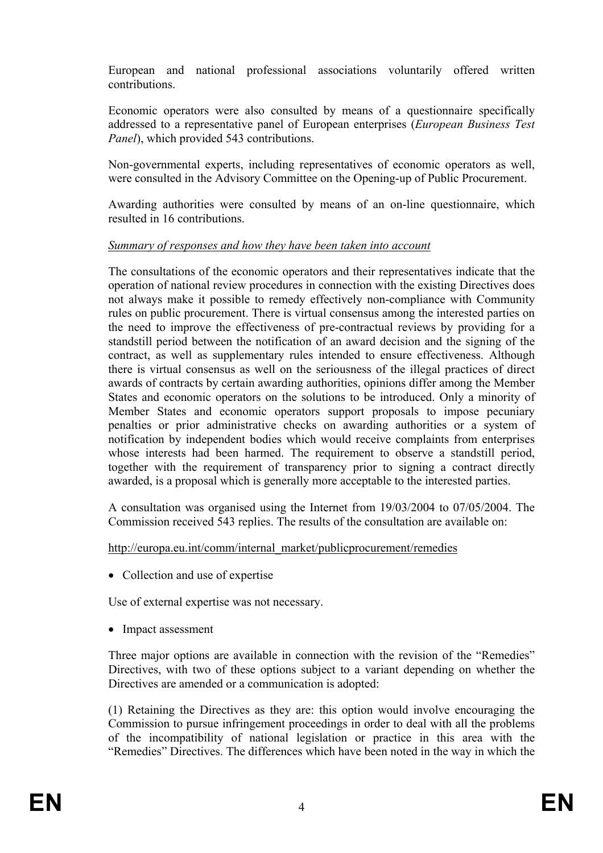European and national professional associations voluntarily offered written contributions.

Economic operators were also consulted by means of a questionnaire specifically addressed to a representative panel of European enterprises (*European Business Test Panel*), which provided 543 contributions.

Non-governmental experts, including representatives of economic operators as well, were consulted in the Advisory Committee on the Opening-up of Public Procurement.

Awarding authorities were consulted by means of an on-line questionnaire, which resulted in 16 contributions.

### *Summary of responses and how they have been taken into account*

The consultations of the economic operators and their representatives indicate that the operation of national review procedures in connection with the existing Directives does not always make it possible to remedy effectively non-compliance with Community rules on public procurement. There is virtual consensus among the interested parties on the need to improve the effectiveness of pre-contractual reviews by providing for a standstill period between the notification of an award decision and the signing of the contract, as well as supplementary rules intended to ensure effectiveness. Although there is virtual consensus as well on the seriousness of the illegal practices of direct awards of contracts by certain awarding authorities, opinions differ among the Member States and economic operators on the solutions to be introduced. Only a minority of Member States and economic operators support proposals to impose pecuniary penalties or prior administrative checks on awarding authorities or a system of notification by independent bodies which would receive complaints from enterprises whose interests had been harmed. The requirement to observe a standstill period, together with the requirement of transparency prior to signing a contract directly awarded, is a proposal which is generally more acceptable to the interested parties.

A consultation was organised using the Internet from 19/03/2004 to 07/05/2004. The Commission received 543 replies. The results of the consultation are available on:

### http://europa.eu.int/comm/internal\_market/publicprocurement/remedies

• Collection and use of expertise

Use of external expertise was not necessary.

• Impact assessment

Three major options are available in connection with the revision of the "Remedies" Directives, with two of these options subject to a variant depending on whether the Directives are amended or a communication is adopted:

(1) Retaining the Directives as they are: this option would involve encouraging the Commission to pursue infringement proceedings in order to deal with all the problems of the incompatibility of national legislation or practice in this area with the "Remedies" Directives. The differences which have been noted in the way in which the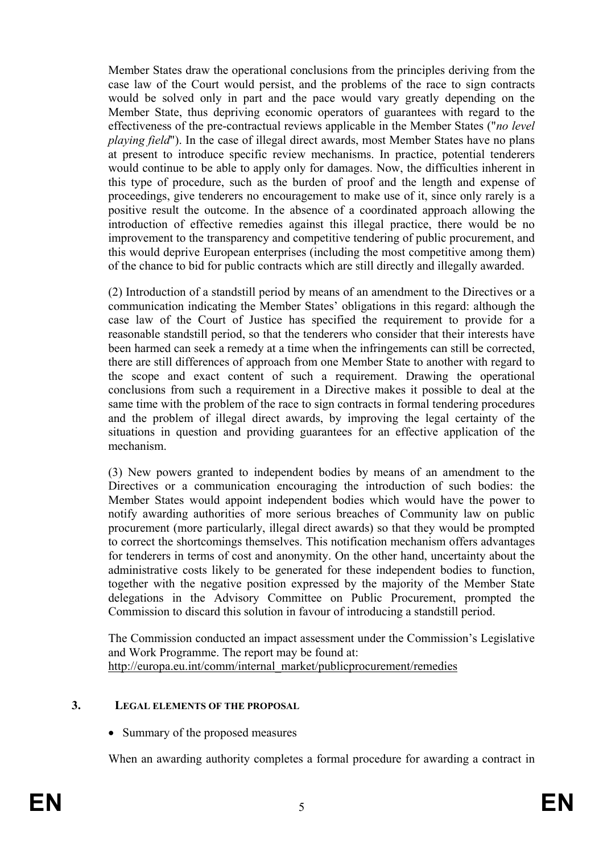Member States draw the operational conclusions from the principles deriving from the case law of the Court would persist, and the problems of the race to sign contracts would be solved only in part and the pace would vary greatly depending on the Member State, thus depriving economic operators of guarantees with regard to the effectiveness of the pre-contractual reviews applicable in the Member States ("*no level playing field*"). In the case of illegal direct awards, most Member States have no plans at present to introduce specific review mechanisms. In practice, potential tenderers would continue to be able to apply only for damages. Now, the difficulties inherent in this type of procedure, such as the burden of proof and the length and expense of proceedings, give tenderers no encouragement to make use of it, since only rarely is a positive result the outcome. In the absence of a coordinated approach allowing the introduction of effective remedies against this illegal practice, there would be no improvement to the transparency and competitive tendering of public procurement, and this would deprive European enterprises (including the most competitive among them) of the chance to bid for public contracts which are still directly and illegally awarded.

(2) Introduction of a standstill period by means of an amendment to the Directives or a communication indicating the Member States' obligations in this regard: although the case law of the Court of Justice has specified the requirement to provide for a reasonable standstill period, so that the tenderers who consider that their interests have been harmed can seek a remedy at a time when the infringements can still be corrected, there are still differences of approach from one Member State to another with regard to the scope and exact content of such a requirement. Drawing the operational conclusions from such a requirement in a Directive makes it possible to deal at the same time with the problem of the race to sign contracts in formal tendering procedures and the problem of illegal direct awards, by improving the legal certainty of the situations in question and providing guarantees for an effective application of the mechanism.

(3) New powers granted to independent bodies by means of an amendment to the Directives or a communication encouraging the introduction of such bodies: the Member States would appoint independent bodies which would have the power to notify awarding authorities of more serious breaches of Community law on public procurement (more particularly, illegal direct awards) so that they would be prompted to correct the shortcomings themselves. This notification mechanism offers advantages for tenderers in terms of cost and anonymity. On the other hand, uncertainty about the administrative costs likely to be generated for these independent bodies to function, together with the negative position expressed by the majority of the Member State delegations in the Advisory Committee on Public Procurement, prompted the Commission to discard this solution in favour of introducing a standstill period.

The Commission conducted an impact assessment under the Commission's Legislative and Work Programme. The report may be found at: http://europa.eu.int/comm/internal\_market/publicprocurement/remedies

#### **3. LEGAL ELEMENTS OF THE PROPOSAL**

• Summary of the proposed measures

When an awarding authority completes a formal procedure for awarding a contract in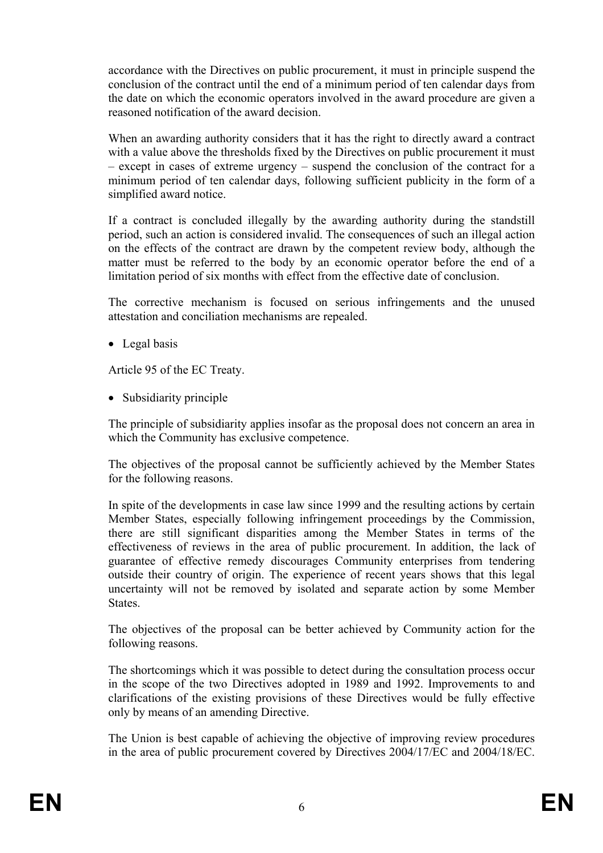accordance with the Directives on public procurement, it must in principle suspend the conclusion of the contract until the end of a minimum period of ten calendar days from the date on which the economic operators involved in the award procedure are given a reasoned notification of the award decision.

When an awarding authority considers that it has the right to directly award a contract with a value above the thresholds fixed by the Directives on public procurement it must – except in cases of extreme urgency – suspend the conclusion of the contract for a minimum period of ten calendar days, following sufficient publicity in the form of a simplified award notice.

If a contract is concluded illegally by the awarding authority during the standstill period, such an action is considered invalid. The consequences of such an illegal action on the effects of the contract are drawn by the competent review body, although the matter must be referred to the body by an economic operator before the end of a limitation period of six months with effect from the effective date of conclusion.

The corrective mechanism is focused on serious infringements and the unused attestation and conciliation mechanisms are repealed.

• Legal basis

Article 95 of the EC Treaty.

• Subsidiarity principle

The principle of subsidiarity applies insofar as the proposal does not concern an area in which the Community has exclusive competence.

 The objectives of the proposal cannot be sufficiently achieved by the Member States for the following reasons.

In spite of the developments in case law since 1999 and the resulting actions by certain Member States, especially following infringement proceedings by the Commission, there are still significant disparities among the Member States in terms of the effectiveness of reviews in the area of public procurement. In addition, the lack of guarantee of effective remedy discourages Community enterprises from tendering outside their country of origin. The experience of recent years shows that this legal uncertainty will not be removed by isolated and separate action by some Member States.

 The objectives of the proposal can be better achieved by Community action for the following reasons.

The shortcomings which it was possible to detect during the consultation process occur in the scope of the two Directives adopted in 1989 and 1992. Improvements to and clarifications of the existing provisions of these Directives would be fully effective only by means of an amending Directive.

The Union is best capable of achieving the objective of improving review procedures in the area of public procurement covered by Directives 2004/17/EC and 2004/18/EC.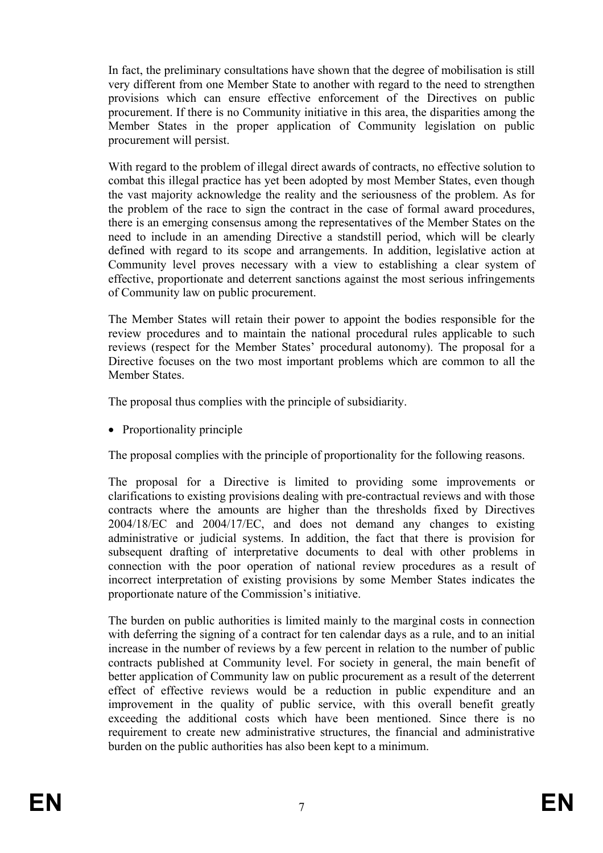In fact, the preliminary consultations have shown that the degree of mobilisation is still very different from one Member State to another with regard to the need to strengthen provisions which can ensure effective enforcement of the Directives on public procurement. If there is no Community initiative in this area, the disparities among the Member States in the proper application of Community legislation on public procurement will persist.

With regard to the problem of illegal direct awards of contracts, no effective solution to combat this illegal practice has yet been adopted by most Member States, even though the vast majority acknowledge the reality and the seriousness of the problem. As for the problem of the race to sign the contract in the case of formal award procedures, there is an emerging consensus among the representatives of the Member States on the need to include in an amending Directive a standstill period, which will be clearly defined with regard to its scope and arrangements. In addition, legislative action at Community level proves necessary with a view to establishing a clear system of effective, proportionate and deterrent sanctions against the most serious infringements of Community law on public procurement.

The Member States will retain their power to appoint the bodies responsible for the review procedures and to maintain the national procedural rules applicable to such reviews (respect for the Member States' procedural autonomy). The proposal for a Directive focuses on the two most important problems which are common to all the Member States.

The proposal thus complies with the principle of subsidiarity.

• Proportionality principle

The proposal complies with the principle of proportionality for the following reasons.

The proposal for a Directive is limited to providing some improvements or clarifications to existing provisions dealing with pre-contractual reviews and with those contracts where the amounts are higher than the thresholds fixed by Directives 2004/18/EC and 2004/17/EC, and does not demand any changes to existing administrative or judicial systems. In addition, the fact that there is provision for subsequent drafting of interpretative documents to deal with other problems in connection with the poor operation of national review procedures as a result of incorrect interpretation of existing provisions by some Member States indicates the proportionate nature of the Commission's initiative.

The burden on public authorities is limited mainly to the marginal costs in connection with deferring the signing of a contract for ten calendar days as a rule, and to an initial increase in the number of reviews by a few percent in relation to the number of public contracts published at Community level. For society in general, the main benefit of better application of Community law on public procurement as a result of the deterrent effect of effective reviews would be a reduction in public expenditure and an improvement in the quality of public service, with this overall benefit greatly exceeding the additional costs which have been mentioned. Since there is no requirement to create new administrative structures, the financial and administrative burden on the public authorities has also been kept to a minimum.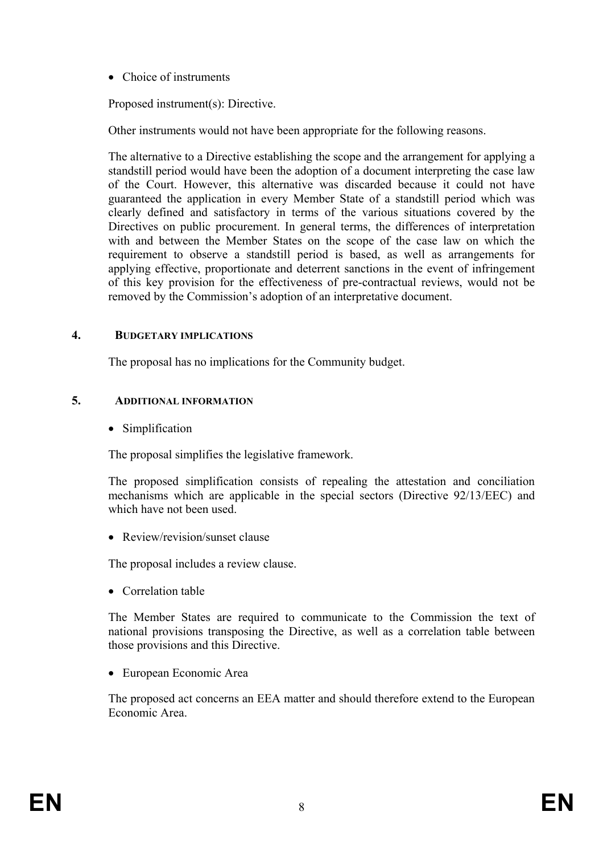• Choice of instruments

Proposed instrument(s): Directive.

Other instruments would not have been appropriate for the following reasons.

The alternative to a Directive establishing the scope and the arrangement for applying a standstill period would have been the adoption of a document interpreting the case law of the Court. However, this alternative was discarded because it could not have guaranteed the application in every Member State of a standstill period which was clearly defined and satisfactory in terms of the various situations covered by the Directives on public procurement. In general terms, the differences of interpretation with and between the Member States on the scope of the case law on which the requirement to observe a standstill period is based, as well as arrangements for applying effective, proportionate and deterrent sanctions in the event of infringement of this key provision for the effectiveness of pre-contractual reviews, would not be removed by the Commission's adoption of an interpretative document.

#### **4. BUDGETARY IMPLICATIONS**

The proposal has no implications for the Community budget.

#### **5. ADDITIONAL INFORMATION**

• Simplification

The proposal simplifies the legislative framework.

The proposed simplification consists of repealing the attestation and conciliation mechanisms which are applicable in the special sectors (Directive 92/13/EEC) and which have not been used.

• Review/revision/sunset clause

The proposal includes a review clause.

• Correlation table

The Member States are required to communicate to the Commission the text of national provisions transposing the Directive, as well as a correlation table between those provisions and this Directive.

• European Economic Area

The proposed act concerns an EEA matter and should therefore extend to the European Economic Area.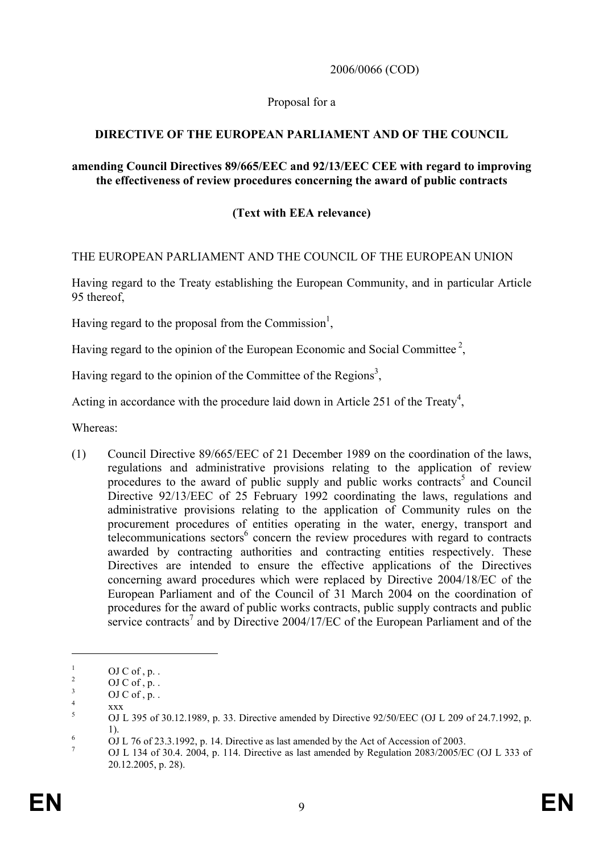2006/0066 (COD)

#### Proposal for a

### **DIRECTIVE OF THE EUROPEAN PARLIAMENT AND OF THE COUNCIL**

#### **amending Council Directives 89/665/EEC and 92/13/EEC CEE with regard to improving the effectiveness of review procedures concerning the award of public contracts**

## **(Text with EEA relevance)**

#### THE EUROPEAN PARLIAMENT AND THE COUNCIL OF THE EUROPEAN UNION

Having regard to the Treaty establishing the European Community, and in particular Article 95 thereof,

Having regard to the proposal from the Commission<sup>1</sup>,

Having regard to the opinion of the European Economic and Social Committee<sup>2</sup>.

Having regard to the opinion of the Committee of the Regions<sup>3</sup>,

Acting in accordance with the procedure laid down in Article 251 of the Treaty<sup>4</sup>,

Whereas:

(1) Council Directive 89/665/EEC of 21 December 1989 on the coordination of the laws, regulations and administrative provisions relating to the application of review procedures to the award of public supply and public works contracts<sup>5</sup> and Council Directive 92/13/EEC of 25 February 1992 coordinating the laws, regulations and administrative provisions relating to the application of Community rules on the procurement procedures of entities operating in the water, energy, transport and  $t$ elecommunications sectors $<sup>6</sup>$  concern the review procedures with regard to contracts</sup> awarded by contracting authorities and contracting entities respectively. These Directives are intended to ensure the effective applications of the Directives concerning award procedures which were replaced by Directive 2004/18/EC of the European Parliament and of the Council of 31 March 2004 on the coordination of procedures for the award of public works contracts, public supply contracts and public service contracts<sup>7</sup> and by Directive 2004/17/EC of the European Parliament and of the

<u>.</u>

<sup>1</sup>  $OJ C of. p$ . 2

OJ C of  $, p$ .

<sup>3</sup>  $OJ C of. p.$ . 4

xxx

<sup>5</sup> OJ L 395 of 30.12.1989, p. 33. Directive amended by Directive 92/50/EEC (OJ L 209 of 24.7.1992, p. 1). 6 OJ L 76 of 23.3.1992, p. 14. Directive as last amended by the Act of Accession of 2003.

<sup>7</sup> OJ L 134 of 30.4. 2004, p. 114. Directive as last amended by Regulation 2083/2005/EC (OJ L 333 of 20.12.2005, p. 28).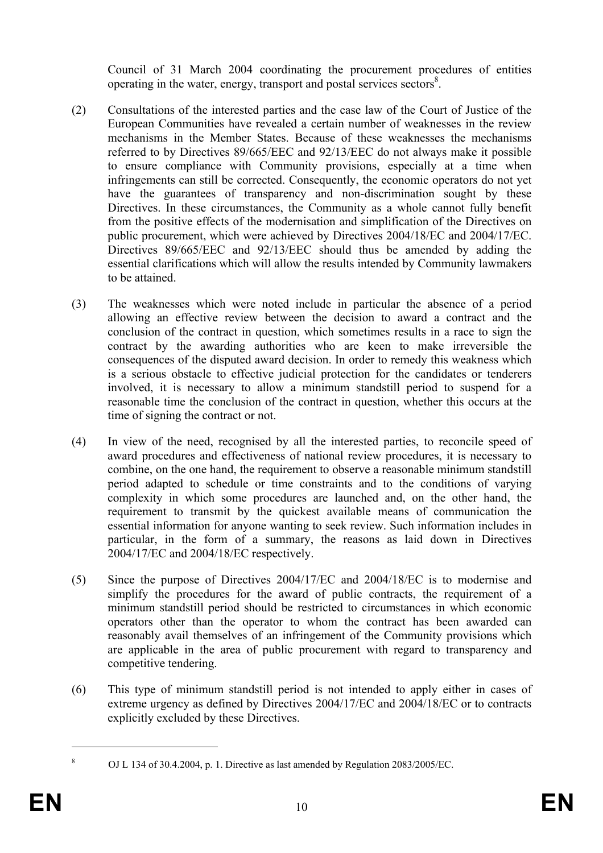Council of 31 March 2004 coordinating the procurement procedures of entities operating in the water, energy, transport and postal services sectors<sup>8</sup>.

- (2) Consultations of the interested parties and the case law of the Court of Justice of the European Communities have revealed a certain number of weaknesses in the review mechanisms in the Member States. Because of these weaknesses the mechanisms referred to by Directives 89/665/EEC and 92/13/EEC do not always make it possible to ensure compliance with Community provisions, especially at a time when infringements can still be corrected. Consequently, the economic operators do not yet have the guarantees of transparency and non-discrimination sought by these Directives. In these circumstances, the Community as a whole cannot fully benefit from the positive effects of the modernisation and simplification of the Directives on public procurement, which were achieved by Directives 2004/18/EC and 2004/17/EC. Directives 89/665/EEC and 92/13/EEC should thus be amended by adding the essential clarifications which will allow the results intended by Community lawmakers to be attained.
- (3) The weaknesses which were noted include in particular the absence of a period allowing an effective review between the decision to award a contract and the conclusion of the contract in question, which sometimes results in a race to sign the contract by the awarding authorities who are keen to make irreversible the consequences of the disputed award decision. In order to remedy this weakness which is a serious obstacle to effective judicial protection for the candidates or tenderers involved, it is necessary to allow a minimum standstill period to suspend for a reasonable time the conclusion of the contract in question, whether this occurs at the time of signing the contract or not.
- (4) In view of the need, recognised by all the interested parties, to reconcile speed of award procedures and effectiveness of national review procedures, it is necessary to combine, on the one hand, the requirement to observe a reasonable minimum standstill period adapted to schedule or time constraints and to the conditions of varying complexity in which some procedures are launched and, on the other hand, the requirement to transmit by the quickest available means of communication the essential information for anyone wanting to seek review. Such information includes in particular, in the form of a summary, the reasons as laid down in Directives 2004/17/EC and 2004/18/EC respectively.
- (5) Since the purpose of Directives 2004/17/EC and 2004/18/EC is to modernise and simplify the procedures for the award of public contracts, the requirement of a minimum standstill period should be restricted to circumstances in which economic operators other than the operator to whom the contract has been awarded can reasonably avail themselves of an infringement of the Community provisions which are applicable in the area of public procurement with regard to transparency and competitive tendering.
- (6) This type of minimum standstill period is not intended to apply either in cases of extreme urgency as defined by Directives 2004/17/EC and 2004/18/EC or to contracts explicitly excluded by these Directives.

 $\overline{a}$ 8

OJ L 134 of 30.4.2004, p. 1. Directive as last amended by Regulation 2083/2005/EC.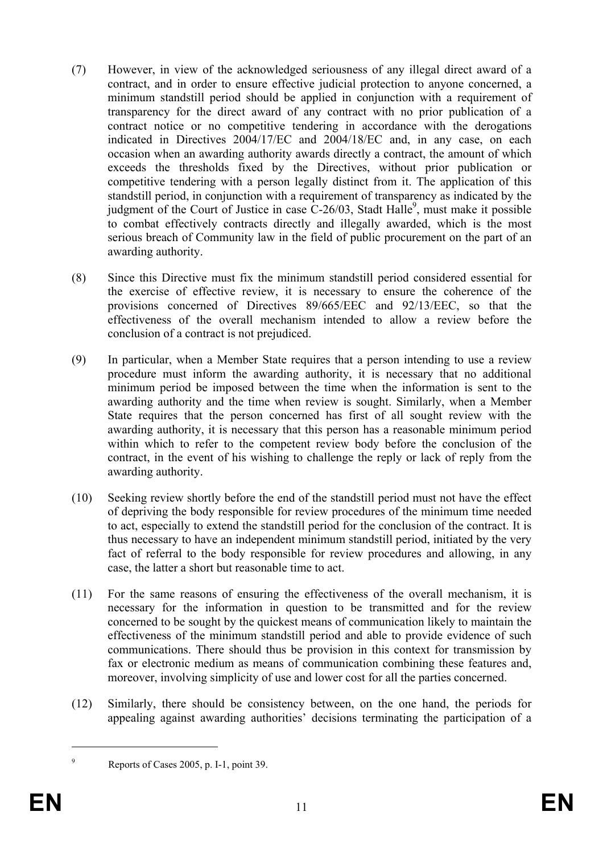- (7) However, in view of the acknowledged seriousness of any illegal direct award of a contract, and in order to ensure effective judicial protection to anyone concerned, a minimum standstill period should be applied in conjunction with a requirement of transparency for the direct award of any contract with no prior publication of a contract notice or no competitive tendering in accordance with the derogations indicated in Directives 2004/17/EC and 2004/18/EC and, in any case, on each occasion when an awarding authority awards directly a contract, the amount of which exceeds the thresholds fixed by the Directives, without prior publication or competitive tendering with a person legally distinct from it. The application of this standstill period, in conjunction with a requirement of transparency as indicated by the judgment of the Court of Justice in case  $C-26/03$ , Stadt Halle<sup>9</sup>, must make it possible to combat effectively contracts directly and illegally awarded, which is the most serious breach of Community law in the field of public procurement on the part of an awarding authority.
- (8) Since this Directive must fix the minimum standstill period considered essential for the exercise of effective review, it is necessary to ensure the coherence of the provisions concerned of Directives 89/665/EEC and 92/13/EEC, so that the effectiveness of the overall mechanism intended to allow a review before the conclusion of a contract is not prejudiced.
- (9) In particular, when a Member State requires that a person intending to use a review procedure must inform the awarding authority, it is necessary that no additional minimum period be imposed between the time when the information is sent to the awarding authority and the time when review is sought. Similarly, when a Member State requires that the person concerned has first of all sought review with the awarding authority, it is necessary that this person has a reasonable minimum period within which to refer to the competent review body before the conclusion of the contract, in the event of his wishing to challenge the reply or lack of reply from the awarding authority.
- (10) Seeking review shortly before the end of the standstill period must not have the effect of depriving the body responsible for review procedures of the minimum time needed to act, especially to extend the standstill period for the conclusion of the contract. It is thus necessary to have an independent minimum standstill period, initiated by the very fact of referral to the body responsible for review procedures and allowing, in any case, the latter a short but reasonable time to act.
- (11) For the same reasons of ensuring the effectiveness of the overall mechanism, it is necessary for the information in question to be transmitted and for the review concerned to be sought by the quickest means of communication likely to maintain the effectiveness of the minimum standstill period and able to provide evidence of such communications. There should thus be provision in this context for transmission by fax or electronic medium as means of communication combining these features and, moreover, involving simplicity of use and lower cost for all the parties concerned.
- (12) Similarly, there should be consistency between, on the one hand, the periods for appealing against awarding authorities' decisions terminating the participation of a

<sup>1</sup> 9

Reports of Cases 2005, p. I-1, point 39.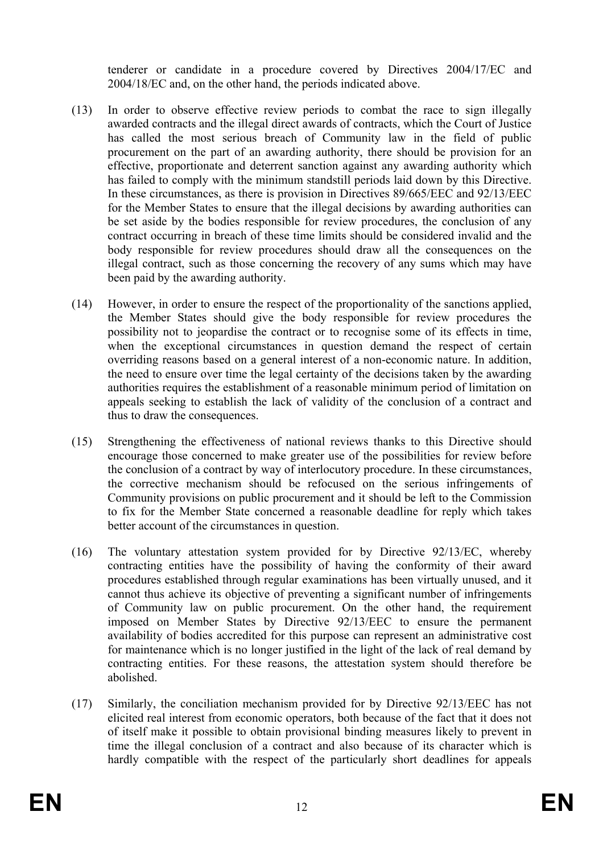tenderer or candidate in a procedure covered by Directives 2004/17/EC and 2004/18/EC and, on the other hand, the periods indicated above.

- (13) In order to observe effective review periods to combat the race to sign illegally awarded contracts and the illegal direct awards of contracts, which the Court of Justice has called the most serious breach of Community law in the field of public procurement on the part of an awarding authority, there should be provision for an effective, proportionate and deterrent sanction against any awarding authority which has failed to comply with the minimum standstill periods laid down by this Directive. In these circumstances, as there is provision in Directives 89/665/EEC and 92/13/EEC for the Member States to ensure that the illegal decisions by awarding authorities can be set aside by the bodies responsible for review procedures, the conclusion of any contract occurring in breach of these time limits should be considered invalid and the body responsible for review procedures should draw all the consequences on the illegal contract, such as those concerning the recovery of any sums which may have been paid by the awarding authority.
- (14) However, in order to ensure the respect of the proportionality of the sanctions applied, the Member States should give the body responsible for review procedures the possibility not to jeopardise the contract or to recognise some of its effects in time, when the exceptional circumstances in question demand the respect of certain overriding reasons based on a general interest of a non-economic nature. In addition, the need to ensure over time the legal certainty of the decisions taken by the awarding authorities requires the establishment of a reasonable minimum period of limitation on appeals seeking to establish the lack of validity of the conclusion of a contract and thus to draw the consequences.
- (15) Strengthening the effectiveness of national reviews thanks to this Directive should encourage those concerned to make greater use of the possibilities for review before the conclusion of a contract by way of interlocutory procedure. In these circumstances, the corrective mechanism should be refocused on the serious infringements of Community provisions on public procurement and it should be left to the Commission to fix for the Member State concerned a reasonable deadline for reply which takes better account of the circumstances in question.
- (16) The voluntary attestation system provided for by Directive 92/13/EC, whereby contracting entities have the possibility of having the conformity of their award procedures established through regular examinations has been virtually unused, and it cannot thus achieve its objective of preventing a significant number of infringements of Community law on public procurement. On the other hand, the requirement imposed on Member States by Directive 92/13/EEC to ensure the permanent availability of bodies accredited for this purpose can represent an administrative cost for maintenance which is no longer justified in the light of the lack of real demand by contracting entities. For these reasons, the attestation system should therefore be abolished.
- (17) Similarly, the conciliation mechanism provided for by Directive 92/13/EEC has not elicited real interest from economic operators, both because of the fact that it does not of itself make it possible to obtain provisional binding measures likely to prevent in time the illegal conclusion of a contract and also because of its character which is hardly compatible with the respect of the particularly short deadlines for appeals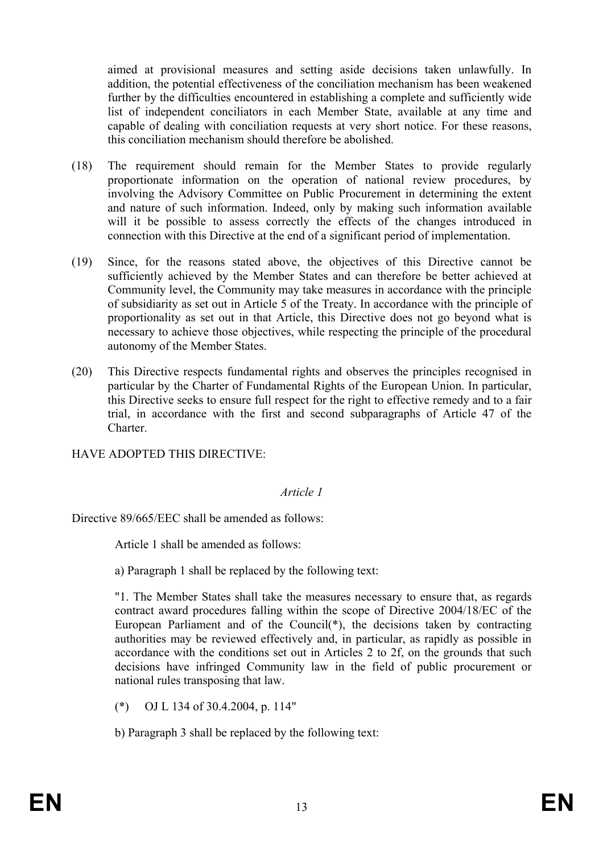aimed at provisional measures and setting aside decisions taken unlawfully. In addition, the potential effectiveness of the conciliation mechanism has been weakened further by the difficulties encountered in establishing a complete and sufficiently wide list of independent conciliators in each Member State, available at any time and capable of dealing with conciliation requests at very short notice. For these reasons, this conciliation mechanism should therefore be abolished.

- (18) The requirement should remain for the Member States to provide regularly proportionate information on the operation of national review procedures, by involving the Advisory Committee on Public Procurement in determining the extent and nature of such information. Indeed, only by making such information available will it be possible to assess correctly the effects of the changes introduced in connection with this Directive at the end of a significant period of implementation.
- (19) Since, for the reasons stated above, the objectives of this Directive cannot be sufficiently achieved by the Member States and can therefore be better achieved at Community level, the Community may take measures in accordance with the principle of subsidiarity as set out in Article 5 of the Treaty. In accordance with the principle of proportionality as set out in that Article, this Directive does not go beyond what is necessary to achieve those objectives, while respecting the principle of the procedural autonomy of the Member States.
- (20) This Directive respects fundamental rights and observes the principles recognised in particular by the Charter of Fundamental Rights of the European Union. In particular, this Directive seeks to ensure full respect for the right to effective remedy and to a fair trial, in accordance with the first and second subparagraphs of Article 47 of the Charter.

HAVE ADOPTED THIS DIRECTIVE:

### *Article 1*

Directive 89/665/EEC shall be amended as follows:

Article 1 shall be amended as follows:

a) Paragraph 1 shall be replaced by the following text:

"1. The Member States shall take the measures necessary to ensure that, as regards contract award procedures falling within the scope of Directive 2004/18/EC of the European Parliament and of the Council(\*), the decisions taken by contracting authorities may be reviewed effectively and, in particular, as rapidly as possible in accordance with the conditions set out in Articles 2 to 2f, on the grounds that such decisions have infringed Community law in the field of public procurement or national rules transposing that law.

(\*) OJ L 134 of 30.4.2004, p. 114"

b) Paragraph 3 shall be replaced by the following text: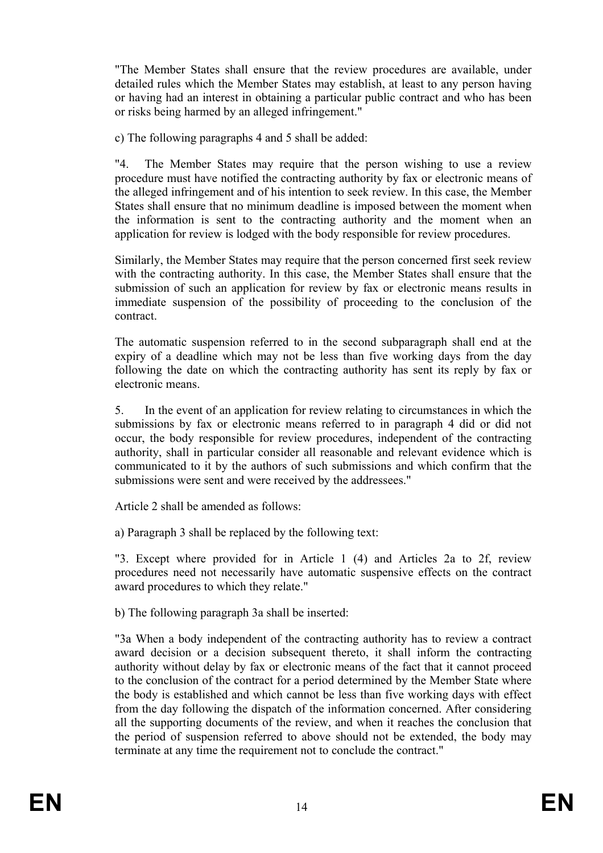"The Member States shall ensure that the review procedures are available, under detailed rules which the Member States may establish, at least to any person having or having had an interest in obtaining a particular public contract and who has been or risks being harmed by an alleged infringement."

c) The following paragraphs 4 and 5 shall be added:

"4. The Member States may require that the person wishing to use a review procedure must have notified the contracting authority by fax or electronic means of the alleged infringement and of his intention to seek review. In this case, the Member States shall ensure that no minimum deadline is imposed between the moment when the information is sent to the contracting authority and the moment when an application for review is lodged with the body responsible for review procedures.

Similarly, the Member States may require that the person concerned first seek review with the contracting authority. In this case, the Member States shall ensure that the submission of such an application for review by fax or electronic means results in immediate suspension of the possibility of proceeding to the conclusion of the contract.

The automatic suspension referred to in the second subparagraph shall end at the expiry of a deadline which may not be less than five working days from the day following the date on which the contracting authority has sent its reply by fax or electronic means.

5. In the event of an application for review relating to circumstances in which the submissions by fax or electronic means referred to in paragraph 4 did or did not occur, the body responsible for review procedures, independent of the contracting authority, shall in particular consider all reasonable and relevant evidence which is communicated to it by the authors of such submissions and which confirm that the submissions were sent and were received by the addressees."

Article 2 shall be amended as follows:

a) Paragraph 3 shall be replaced by the following text:

"3. Except where provided for in Article 1 (4) and Articles 2a to 2f, review procedures need not necessarily have automatic suspensive effects on the contract award procedures to which they relate."

b) The following paragraph 3a shall be inserted:

"3a When a body independent of the contracting authority has to review a contract award decision or a decision subsequent thereto, it shall inform the contracting authority without delay by fax or electronic means of the fact that it cannot proceed to the conclusion of the contract for a period determined by the Member State where the body is established and which cannot be less than five working days with effect from the day following the dispatch of the information concerned. After considering all the supporting documents of the review, and when it reaches the conclusion that the period of suspension referred to above should not be extended, the body may terminate at any time the requirement not to conclude the contract."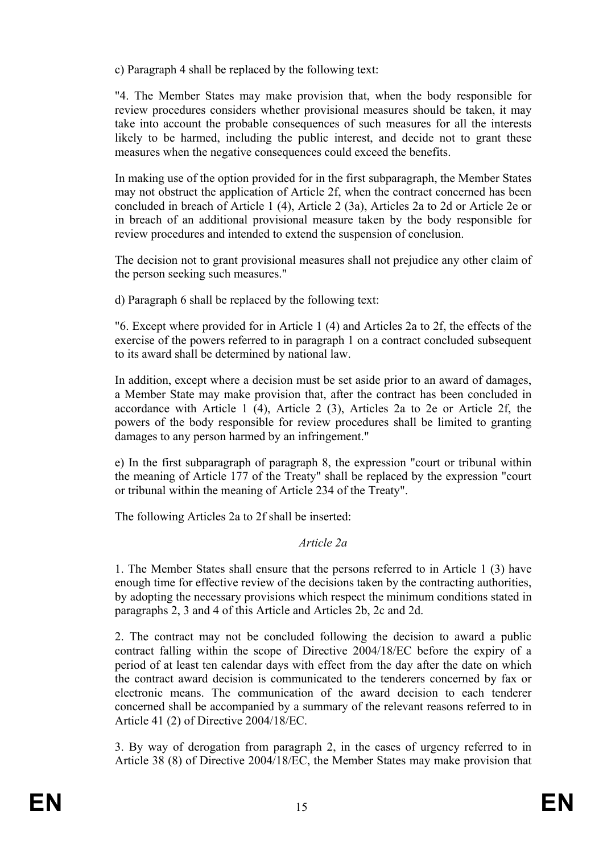c) Paragraph 4 shall be replaced by the following text:

"4. The Member States may make provision that, when the body responsible for review procedures considers whether provisional measures should be taken, it may take into account the probable consequences of such measures for all the interests likely to be harmed, including the public interest, and decide not to grant these measures when the negative consequences could exceed the benefits.

In making use of the option provided for in the first subparagraph, the Member States may not obstruct the application of Article 2f, when the contract concerned has been concluded in breach of Article 1 (4), Article 2 (3a), Articles 2a to 2d or Article 2e or in breach of an additional provisional measure taken by the body responsible for review procedures and intended to extend the suspension of conclusion.

The decision not to grant provisional measures shall not prejudice any other claim of the person seeking such measures."

d) Paragraph 6 shall be replaced by the following text:

"6. Except where provided for in Article 1 (4) and Articles 2a to 2f, the effects of the exercise of the powers referred to in paragraph 1 on a contract concluded subsequent to its award shall be determined by national law.

In addition, except where a decision must be set aside prior to an award of damages, a Member State may make provision that, after the contract has been concluded in accordance with Article 1 (4), Article 2 (3), Articles 2a to 2e or Article 2f, the powers of the body responsible for review procedures shall be limited to granting damages to any person harmed by an infringement."

e) In the first subparagraph of paragraph 8, the expression "court or tribunal within the meaning of Article 177 of the Treaty" shall be replaced by the expression "court or tribunal within the meaning of Article 234 of the Treaty".

The following Articles 2a to 2f shall be inserted:

### *Article 2a*

1. The Member States shall ensure that the persons referred to in Article 1 (3) have enough time for effective review of the decisions taken by the contracting authorities, by adopting the necessary provisions which respect the minimum conditions stated in paragraphs 2, 3 and 4 of this Article and Articles 2b, 2c and 2d.

2. The contract may not be concluded following the decision to award a public contract falling within the scope of Directive 2004/18/EC before the expiry of a period of at least ten calendar days with effect from the day after the date on which the contract award decision is communicated to the tenderers concerned by fax or electronic means. The communication of the award decision to each tenderer concerned shall be accompanied by a summary of the relevant reasons referred to in Article 41 (2) of Directive 2004/18/EC.

3. By way of derogation from paragraph 2, in the cases of urgency referred to in Article 38 (8) of Directive 2004/18/EC, the Member States may make provision that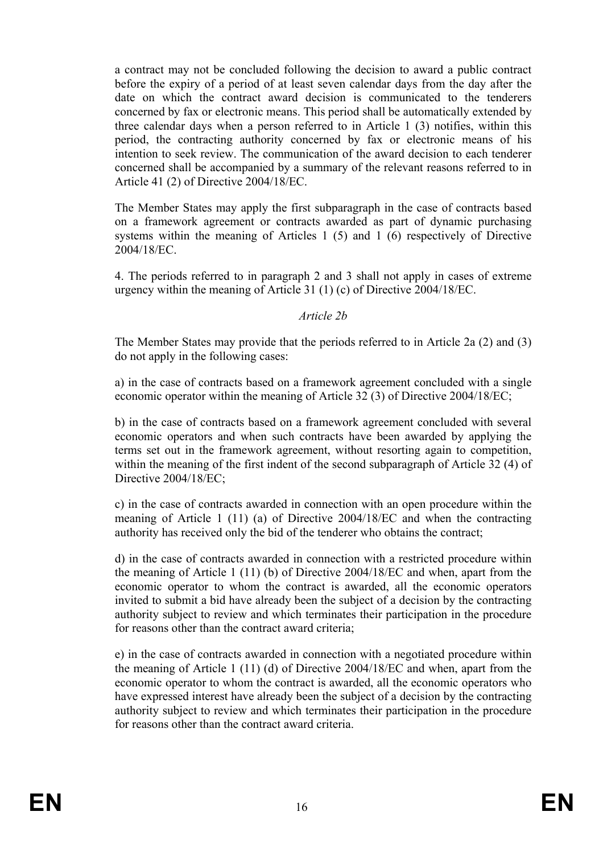a contract may not be concluded following the decision to award a public contract before the expiry of a period of at least seven calendar days from the day after the date on which the contract award decision is communicated to the tenderers concerned by fax or electronic means. This period shall be automatically extended by three calendar days when a person referred to in Article 1 (3) notifies, within this period, the contracting authority concerned by fax or electronic means of his intention to seek review. The communication of the award decision to each tenderer concerned shall be accompanied by a summary of the relevant reasons referred to in Article 41 (2) of Directive 2004/18/EC.

The Member States may apply the first subparagraph in the case of contracts based on a framework agreement or contracts awarded as part of dynamic purchasing systems within the meaning of Articles 1 (5) and 1 (6) respectively of Directive 2004/18/EC.

4. The periods referred to in paragraph 2 and 3 shall not apply in cases of extreme urgency within the meaning of Article 31 (1) (c) of Directive 2004/18/EC.

#### *Article 2b*

The Member States may provide that the periods referred to in Article 2a (2) and (3) do not apply in the following cases:

a) in the case of contracts based on a framework agreement concluded with a single economic operator within the meaning of Article 32 (3) of Directive 2004/18/EC;

b) in the case of contracts based on a framework agreement concluded with several economic operators and when such contracts have been awarded by applying the terms set out in the framework agreement, without resorting again to competition, within the meaning of the first indent of the second subparagraph of Article 32 (4) of Directive 2004/18/EC;

c) in the case of contracts awarded in connection with an open procedure within the meaning of Article 1 (11) (a) of Directive 2004/18/EC and when the contracting authority has received only the bid of the tenderer who obtains the contract;

d) in the case of contracts awarded in connection with a restricted procedure within the meaning of Article 1 (11) (b) of Directive 2004/18/EC and when, apart from the economic operator to whom the contract is awarded, all the economic operators invited to submit a bid have already been the subject of a decision by the contracting authority subject to review and which terminates their participation in the procedure for reasons other than the contract award criteria;

e) in the case of contracts awarded in connection with a negotiated procedure within the meaning of Article 1 (11) (d) of Directive 2004/18/EC and when, apart from the economic operator to whom the contract is awarded, all the economic operators who have expressed interest have already been the subject of a decision by the contracting authority subject to review and which terminates their participation in the procedure for reasons other than the contract award criteria.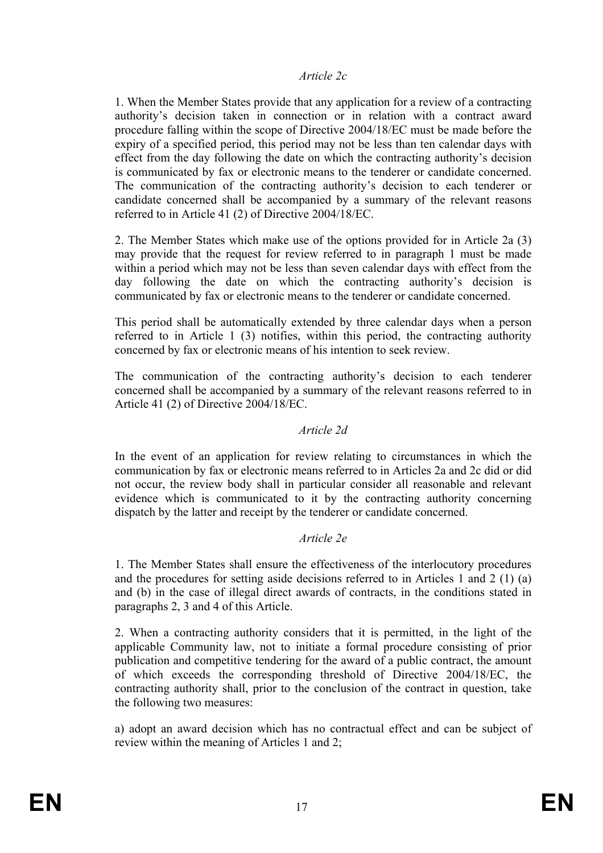#### *Article 2c*

1. When the Member States provide that any application for a review of a contracting authority's decision taken in connection or in relation with a contract award procedure falling within the scope of Directive 2004/18/EC must be made before the expiry of a specified period, this period may not be less than ten calendar days with effect from the day following the date on which the contracting authority's decision is communicated by fax or electronic means to the tenderer or candidate concerned. The communication of the contracting authority's decision to each tenderer or candidate concerned shall be accompanied by a summary of the relevant reasons referred to in Article 41 (2) of Directive 2004/18/EC.

2. The Member States which make use of the options provided for in Article 2a (3) may provide that the request for review referred to in paragraph 1 must be made within a period which may not be less than seven calendar days with effect from the day following the date on which the contracting authority's decision is communicated by fax or electronic means to the tenderer or candidate concerned.

This period shall be automatically extended by three calendar days when a person referred to in Article 1 (3) notifies, within this period, the contracting authority concerned by fax or electronic means of his intention to seek review.

The communication of the contracting authority's decision to each tenderer concerned shall be accompanied by a summary of the relevant reasons referred to in Article 41 (2) of Directive 2004/18/EC.

#### *Article 2d*

In the event of an application for review relating to circumstances in which the communication by fax or electronic means referred to in Articles 2a and 2c did or did not occur, the review body shall in particular consider all reasonable and relevant evidence which is communicated to it by the contracting authority concerning dispatch by the latter and receipt by the tenderer or candidate concerned.

### *Article 2e*

1. The Member States shall ensure the effectiveness of the interlocutory procedures and the procedures for setting aside decisions referred to in Articles 1 and 2 (1) (a) and (b) in the case of illegal direct awards of contracts, in the conditions stated in paragraphs 2, 3 and 4 of this Article.

2. When a contracting authority considers that it is permitted, in the light of the applicable Community law, not to initiate a formal procedure consisting of prior publication and competitive tendering for the award of a public contract, the amount of which exceeds the corresponding threshold of Directive 2004/18/EC, the contracting authority shall, prior to the conclusion of the contract in question, take the following two measures:

a) adopt an award decision which has no contractual effect and can be subject of review within the meaning of Articles 1 and 2;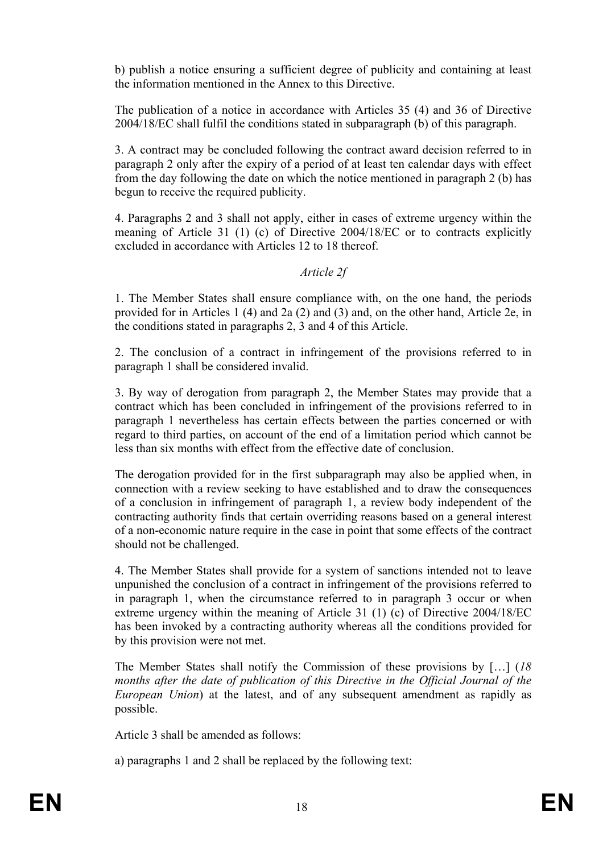b) publish a notice ensuring a sufficient degree of publicity and containing at least the information mentioned in the Annex to this Directive.

The publication of a notice in accordance with Articles 35 (4) and 36 of Directive 2004/18/EC shall fulfil the conditions stated in subparagraph (b) of this paragraph.

3. A contract may be concluded following the contract award decision referred to in paragraph 2 only after the expiry of a period of at least ten calendar days with effect from the day following the date on which the notice mentioned in paragraph 2 (b) has begun to receive the required publicity.

4. Paragraphs 2 and 3 shall not apply, either in cases of extreme urgency within the meaning of Article 31 (1) (c) of Directive 2004/18/EC or to contracts explicitly excluded in accordance with Articles 12 to 18 thereof.

*Article 2f* 

1. The Member States shall ensure compliance with, on the one hand, the periods provided for in Articles 1 (4) and 2a (2) and (3) and, on the other hand, Article 2e, in the conditions stated in paragraphs 2, 3 and 4 of this Article.

2. The conclusion of a contract in infringement of the provisions referred to in paragraph 1 shall be considered invalid.

3. By way of derogation from paragraph 2, the Member States may provide that a contract which has been concluded in infringement of the provisions referred to in paragraph 1 nevertheless has certain effects between the parties concerned or with regard to third parties, on account of the end of a limitation period which cannot be less than six months with effect from the effective date of conclusion.

The derogation provided for in the first subparagraph may also be applied when, in connection with a review seeking to have established and to draw the consequences of a conclusion in infringement of paragraph 1, a review body independent of the contracting authority finds that certain overriding reasons based on a general interest of a non-economic nature require in the case in point that some effects of the contract should not be challenged.

4. The Member States shall provide for a system of sanctions intended not to leave unpunished the conclusion of a contract in infringement of the provisions referred to in paragraph 1, when the circumstance referred to in paragraph 3 occur or when extreme urgency within the meaning of Article 31 (1) (c) of Directive 2004/18/EC has been invoked by a contracting authority whereas all the conditions provided for by this provision were not met.

The Member States shall notify the Commission of these provisions by […] (*18 months after the date of publication of this Directive in the Official Journal of the European Union*) at the latest, and of any subsequent amendment as rapidly as possible.

Article 3 shall be amended as follows:

a) paragraphs 1 and 2 shall be replaced by the following text: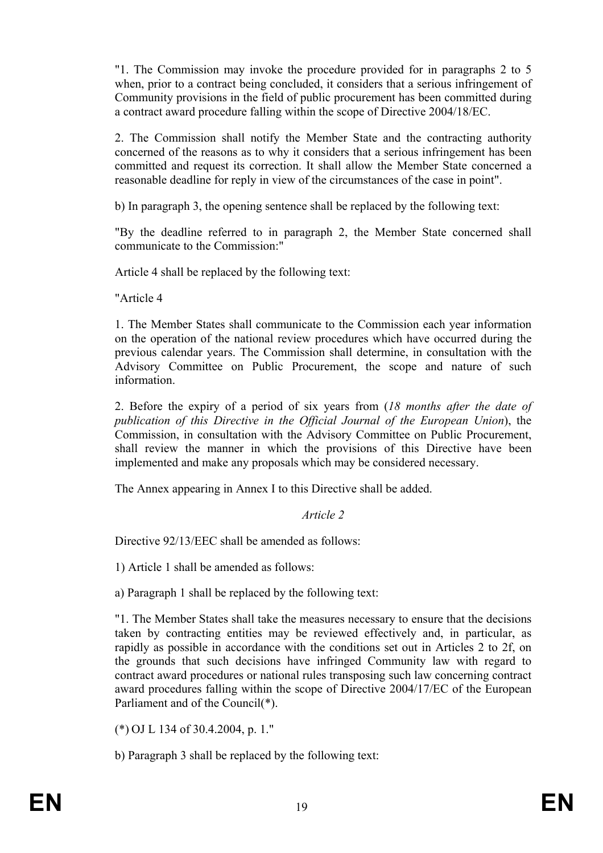"1. The Commission may invoke the procedure provided for in paragraphs 2 to 5 when, prior to a contract being concluded, it considers that a serious infringement of Community provisions in the field of public procurement has been committed during a contract award procedure falling within the scope of Directive 2004/18/EC.

2. The Commission shall notify the Member State and the contracting authority concerned of the reasons as to why it considers that a serious infringement has been committed and request its correction. It shall allow the Member State concerned a reasonable deadline for reply in view of the circumstances of the case in point".

b) In paragraph 3, the opening sentence shall be replaced by the following text:

"By the deadline referred to in paragraph 2, the Member State concerned shall communicate to the Commission:"

Article 4 shall be replaced by the following text:

"Article 4

1. The Member States shall communicate to the Commission each year information on the operation of the national review procedures which have occurred during the previous calendar years. The Commission shall determine, in consultation with the Advisory Committee on Public Procurement, the scope and nature of such information.

2. Before the expiry of a period of six years from (*18 months after the date of publication of this Directive in the Official Journal of the European Union*), the Commission, in consultation with the Advisory Committee on Public Procurement, shall review the manner in which the provisions of this Directive have been implemented and make any proposals which may be considered necessary.

The Annex appearing in Annex I to this Directive shall be added.

### *Article 2*

Directive 92/13/EEC shall be amended as follows:

1) Article 1 shall be amended as follows:

a) Paragraph 1 shall be replaced by the following text:

"1. The Member States shall take the measures necessary to ensure that the decisions taken by contracting entities may be reviewed effectively and, in particular, as rapidly as possible in accordance with the conditions set out in Articles 2 to 2f, on the grounds that such decisions have infringed Community law with regard to contract award procedures or national rules transposing such law concerning contract award procedures falling within the scope of Directive 2004/17/EC of the European Parliament and of the Council(\*).

(\*) OJ L 134 of 30.4.2004, p. 1."

b) Paragraph 3 shall be replaced by the following text: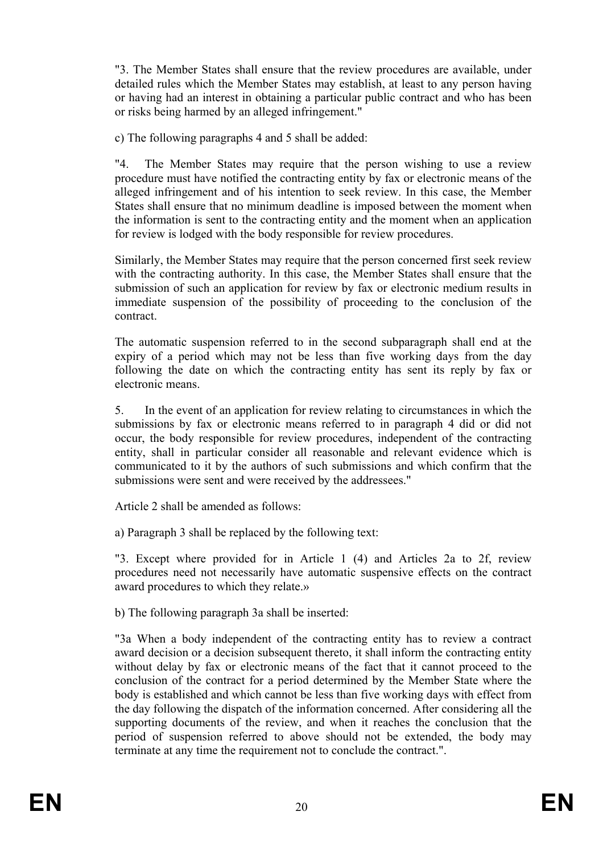"3. The Member States shall ensure that the review procedures are available, under detailed rules which the Member States may establish, at least to any person having or having had an interest in obtaining a particular public contract and who has been or risks being harmed by an alleged infringement."

c) The following paragraphs 4 and 5 shall be added:

"4. The Member States may require that the person wishing to use a review procedure must have notified the contracting entity by fax or electronic means of the alleged infringement and of his intention to seek review. In this case, the Member States shall ensure that no minimum deadline is imposed between the moment when the information is sent to the contracting entity and the moment when an application for review is lodged with the body responsible for review procedures.

Similarly, the Member States may require that the person concerned first seek review with the contracting authority. In this case, the Member States shall ensure that the submission of such an application for review by fax or electronic medium results in immediate suspension of the possibility of proceeding to the conclusion of the contract.

The automatic suspension referred to in the second subparagraph shall end at the expiry of a period which may not be less than five working days from the day following the date on which the contracting entity has sent its reply by fax or electronic means.

5. In the event of an application for review relating to circumstances in which the submissions by fax or electronic means referred to in paragraph 4 did or did not occur, the body responsible for review procedures, independent of the contracting entity, shall in particular consider all reasonable and relevant evidence which is communicated to it by the authors of such submissions and which confirm that the submissions were sent and were received by the addressees."

Article 2 shall be amended as follows:

a) Paragraph 3 shall be replaced by the following text:

"3. Except where provided for in Article 1 (4) and Articles 2a to 2f, review procedures need not necessarily have automatic suspensive effects on the contract award procedures to which they relate.»

b) The following paragraph 3a shall be inserted:

"3a When a body independent of the contracting entity has to review a contract award decision or a decision subsequent thereto, it shall inform the contracting entity without delay by fax or electronic means of the fact that it cannot proceed to the conclusion of the contract for a period determined by the Member State where the body is established and which cannot be less than five working days with effect from the day following the dispatch of the information concerned. After considering all the supporting documents of the review, and when it reaches the conclusion that the period of suspension referred to above should not be extended, the body may terminate at any time the requirement not to conclude the contract.".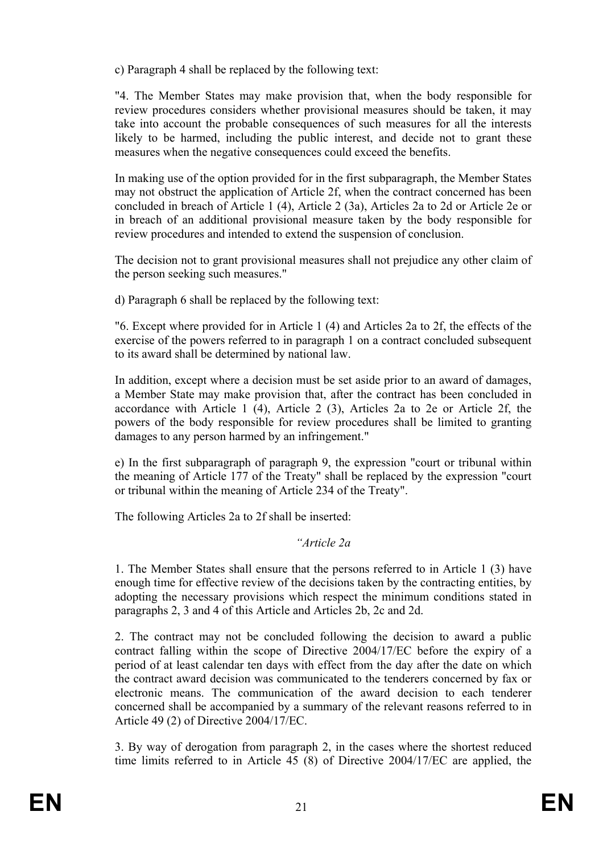c) Paragraph 4 shall be replaced by the following text:

"4. The Member States may make provision that, when the body responsible for review procedures considers whether provisional measures should be taken, it may take into account the probable consequences of such measures for all the interests likely to be harmed, including the public interest, and decide not to grant these measures when the negative consequences could exceed the benefits.

In making use of the option provided for in the first subparagraph, the Member States may not obstruct the application of Article 2f, when the contract concerned has been concluded in breach of Article 1 (4), Article 2 (3a), Articles 2a to 2d or Article 2e or in breach of an additional provisional measure taken by the body responsible for review procedures and intended to extend the suspension of conclusion.

The decision not to grant provisional measures shall not prejudice any other claim of the person seeking such measures."

d) Paragraph 6 shall be replaced by the following text:

"6. Except where provided for in Article 1 (4) and Articles 2a to 2f, the effects of the exercise of the powers referred to in paragraph 1 on a contract concluded subsequent to its award shall be determined by national law.

In addition, except where a decision must be set aside prior to an award of damages, a Member State may make provision that, after the contract has been concluded in accordance with Article 1 (4), Article 2 (3), Articles 2a to 2e or Article 2f, the powers of the body responsible for review procedures shall be limited to granting damages to any person harmed by an infringement."

e) In the first subparagraph of paragraph 9, the expression "court or tribunal within the meaning of Article 177 of the Treaty" shall be replaced by the expression "court or tribunal within the meaning of Article 234 of the Treaty".

The following Articles 2a to 2f shall be inserted:

### *"Article 2a*

1. The Member States shall ensure that the persons referred to in Article 1 (3) have enough time for effective review of the decisions taken by the contracting entities, by adopting the necessary provisions which respect the minimum conditions stated in paragraphs 2, 3 and 4 of this Article and Articles 2b, 2c and 2d.

2. The contract may not be concluded following the decision to award a public contract falling within the scope of Directive 2004/17/EC before the expiry of a period of at least calendar ten days with effect from the day after the date on which the contract award decision was communicated to the tenderers concerned by fax or electronic means. The communication of the award decision to each tenderer concerned shall be accompanied by a summary of the relevant reasons referred to in Article 49 (2) of Directive 2004/17/EC.

3. By way of derogation from paragraph 2, in the cases where the shortest reduced time limits referred to in Article 45 (8) of Directive 2004/17/EC are applied, the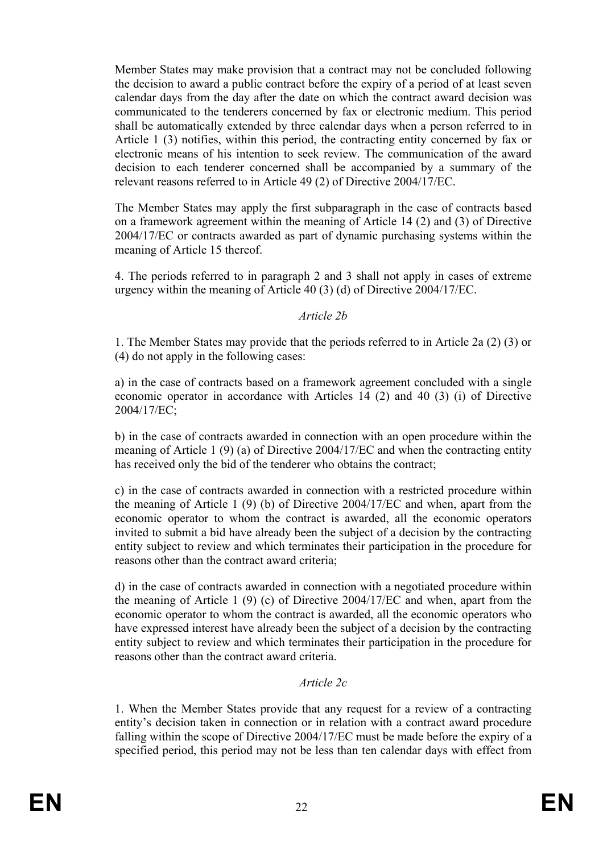Member States may make provision that a contract may not be concluded following the decision to award a public contract before the expiry of a period of at least seven calendar days from the day after the date on which the contract award decision was communicated to the tenderers concerned by fax or electronic medium. This period shall be automatically extended by three calendar days when a person referred to in Article 1 (3) notifies, within this period, the contracting entity concerned by fax or electronic means of his intention to seek review. The communication of the award decision to each tenderer concerned shall be accompanied by a summary of the relevant reasons referred to in Article 49 (2) of Directive 2004/17/EC.

The Member States may apply the first subparagraph in the case of contracts based on a framework agreement within the meaning of Article 14 (2) and (3) of Directive 2004/17/EC or contracts awarded as part of dynamic purchasing systems within the meaning of Article 15 thereof.

4. The periods referred to in paragraph 2 and 3 shall not apply in cases of extreme urgency within the meaning of Article 40 (3) (d) of Directive 2004/17/EC.

#### *Article 2b*

1. The Member States may provide that the periods referred to in Article 2a (2) (3) or (4) do not apply in the following cases:

a) in the case of contracts based on a framework agreement concluded with a single economic operator in accordance with Articles 14 (2) and 40 (3) (i) of Directive 2004/17/EC;

b) in the case of contracts awarded in connection with an open procedure within the meaning of Article 1 (9) (a) of Directive 2004/17/EC and when the contracting entity has received only the bid of the tenderer who obtains the contract;

c) in the case of contracts awarded in connection with a restricted procedure within the meaning of Article 1 (9) (b) of Directive 2004/17/EC and when, apart from the economic operator to whom the contract is awarded, all the economic operators invited to submit a bid have already been the subject of a decision by the contracting entity subject to review and which terminates their participation in the procedure for reasons other than the contract award criteria;

d) in the case of contracts awarded in connection with a negotiated procedure within the meaning of Article 1 (9) (c) of Directive 2004/17/EC and when, apart from the economic operator to whom the contract is awarded, all the economic operators who have expressed interest have already been the subject of a decision by the contracting entity subject to review and which terminates their participation in the procedure for reasons other than the contract award criteria.

### *Article 2c*

1. When the Member States provide that any request for a review of a contracting entity's decision taken in connection or in relation with a contract award procedure falling within the scope of Directive 2004/17/EC must be made before the expiry of a specified period, this period may not be less than ten calendar days with effect from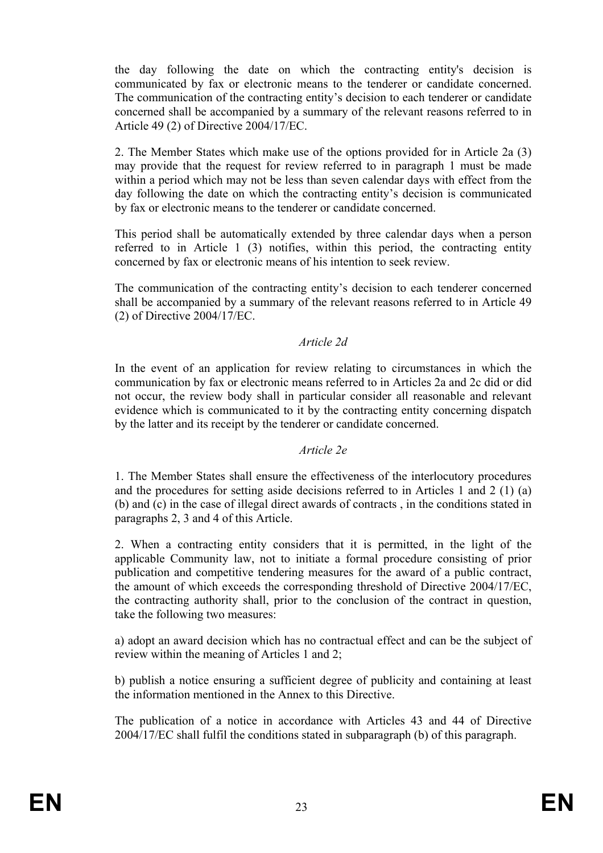the day following the date on which the contracting entity's decision is communicated by fax or electronic means to the tenderer or candidate concerned. The communication of the contracting entity's decision to each tenderer or candidate concerned shall be accompanied by a summary of the relevant reasons referred to in Article 49 (2) of Directive 2004/17/EC.

2. The Member States which make use of the options provided for in Article 2a (3) may provide that the request for review referred to in paragraph 1 must be made within a period which may not be less than seven calendar days with effect from the day following the date on which the contracting entity's decision is communicated by fax or electronic means to the tenderer or candidate concerned.

This period shall be automatically extended by three calendar days when a person referred to in Article 1 (3) notifies, within this period, the contracting entity concerned by fax or electronic means of his intention to seek review.

The communication of the contracting entity's decision to each tenderer concerned shall be accompanied by a summary of the relevant reasons referred to in Article 49 (2) of Directive 2004/17/EC.

#### *Article 2d*

In the event of an application for review relating to circumstances in which the communication by fax or electronic means referred to in Articles 2a and 2c did or did not occur, the review body shall in particular consider all reasonable and relevant evidence which is communicated to it by the contracting entity concerning dispatch by the latter and its receipt by the tenderer or candidate concerned.

#### *Article 2e*

1. The Member States shall ensure the effectiveness of the interlocutory procedures and the procedures for setting aside decisions referred to in Articles 1 and 2 (1) (a) (b) and (c) in the case of illegal direct awards of contracts , in the conditions stated in paragraphs 2, 3 and 4 of this Article.

2. When a contracting entity considers that it is permitted, in the light of the applicable Community law, not to initiate a formal procedure consisting of prior publication and competitive tendering measures for the award of a public contract, the amount of which exceeds the corresponding threshold of Directive 2004/17/EC, the contracting authority shall, prior to the conclusion of the contract in question, take the following two measures:

a) adopt an award decision which has no contractual effect and can be the subject of review within the meaning of Articles 1 and 2;

b) publish a notice ensuring a sufficient degree of publicity and containing at least the information mentioned in the Annex to this Directive.

The publication of a notice in accordance with Articles 43 and 44 of Directive 2004/17/EC shall fulfil the conditions stated in subparagraph (b) of this paragraph.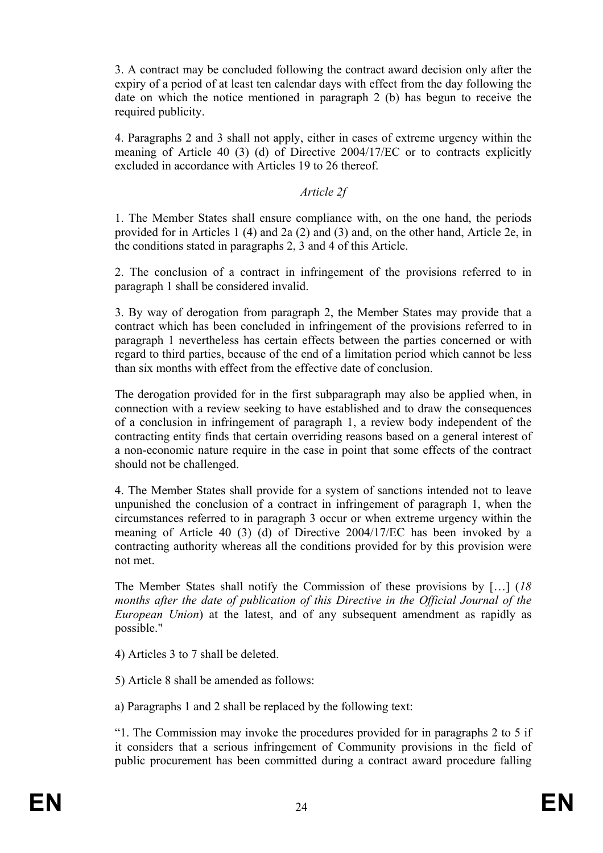3. A contract may be concluded following the contract award decision only after the expiry of a period of at least ten calendar days with effect from the day following the date on which the notice mentioned in paragraph 2 (b) has begun to receive the required publicity.

4. Paragraphs 2 and 3 shall not apply, either in cases of extreme urgency within the meaning of Article 40 (3) (d) of Directive 2004/17/EC or to contracts explicitly excluded in accordance with Articles 19 to 26 thereof.

#### *Article 2f*

1. The Member States shall ensure compliance with, on the one hand, the periods provided for in Articles 1 (4) and 2a (2) and (3) and, on the other hand, Article 2e, in the conditions stated in paragraphs 2, 3 and 4 of this Article.

2. The conclusion of a contract in infringement of the provisions referred to in paragraph 1 shall be considered invalid.

3. By way of derogation from paragraph 2, the Member States may provide that a contract which has been concluded in infringement of the provisions referred to in paragraph 1 nevertheless has certain effects between the parties concerned or with regard to third parties, because of the end of a limitation period which cannot be less than six months with effect from the effective date of conclusion.

The derogation provided for in the first subparagraph may also be applied when, in connection with a review seeking to have established and to draw the consequences of a conclusion in infringement of paragraph 1, a review body independent of the contracting entity finds that certain overriding reasons based on a general interest of a non-economic nature require in the case in point that some effects of the contract should not be challenged.

4. The Member States shall provide for a system of sanctions intended not to leave unpunished the conclusion of a contract in infringement of paragraph 1, when the circumstances referred to in paragraph 3 occur or when extreme urgency within the meaning of Article 40 (3) (d) of Directive 2004/17/EC has been invoked by a contracting authority whereas all the conditions provided for by this provision were not met.

The Member States shall notify the Commission of these provisions by […] (*18 months after the date of publication of this Directive in the Official Journal of the European Union*) at the latest, and of any subsequent amendment as rapidly as possible."

4) Articles 3 to 7 shall be deleted.

5) Article 8 shall be amended as follows:

a) Paragraphs 1 and 2 shall be replaced by the following text:

"1. The Commission may invoke the procedures provided for in paragraphs 2 to 5 if it considers that a serious infringement of Community provisions in the field of public procurement has been committed during a contract award procedure falling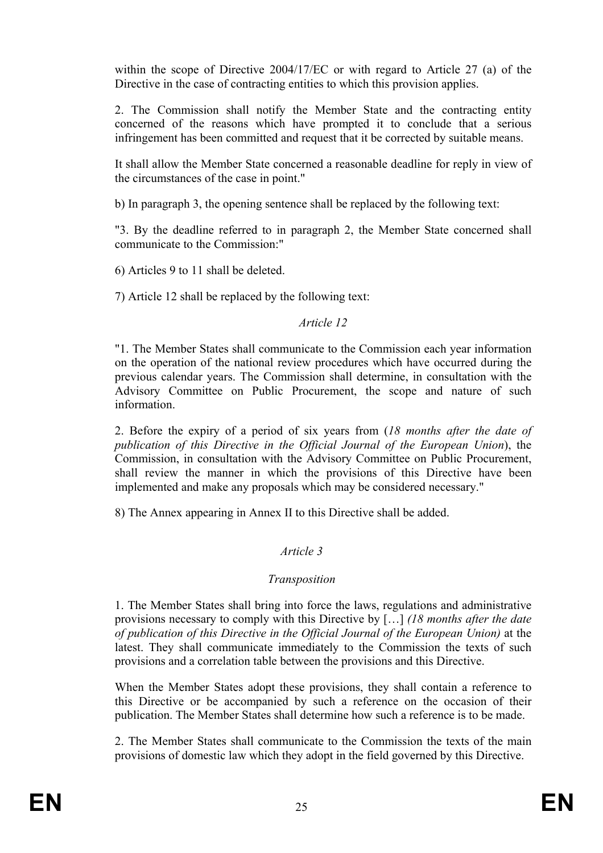within the scope of Directive 2004/17/EC or with regard to Article 27 (a) of the Directive in the case of contracting entities to which this provision applies.

2. The Commission shall notify the Member State and the contracting entity concerned of the reasons which have prompted it to conclude that a serious infringement has been committed and request that it be corrected by suitable means.

It shall allow the Member State concerned a reasonable deadline for reply in view of the circumstances of the case in point."

b) In paragraph 3, the opening sentence shall be replaced by the following text:

"3. By the deadline referred to in paragraph 2, the Member State concerned shall communicate to the Commission:"

6) Articles 9 to 11 shall be deleted.

7) Article 12 shall be replaced by the following text:

### *Article 12*

"1. The Member States shall communicate to the Commission each year information on the operation of the national review procedures which have occurred during the previous calendar years. The Commission shall determine, in consultation with the Advisory Committee on Public Procurement, the scope and nature of such information.

2. Before the expiry of a period of six years from (*18 months after the date of publication of this Directive in the Official Journal of the European Union*), the Commission, in consultation with the Advisory Committee on Public Procurement, shall review the manner in which the provisions of this Directive have been implemented and make any proposals which may be considered necessary."

8) The Annex appearing in Annex II to this Directive shall be added.

## *Article 3*

## *Transposition*

1. The Member States shall bring into force the laws, regulations and administrative provisions necessary to comply with this Directive by […] *(18 months after the date of publication of this Directive in the Official Journal of the European Union)* at the latest. They shall communicate immediately to the Commission the texts of such provisions and a correlation table between the provisions and this Directive.

When the Member States adopt these provisions, they shall contain a reference to this Directive or be accompanied by such a reference on the occasion of their publication. The Member States shall determine how such a reference is to be made.

2. The Member States shall communicate to the Commission the texts of the main provisions of domestic law which they adopt in the field governed by this Directive.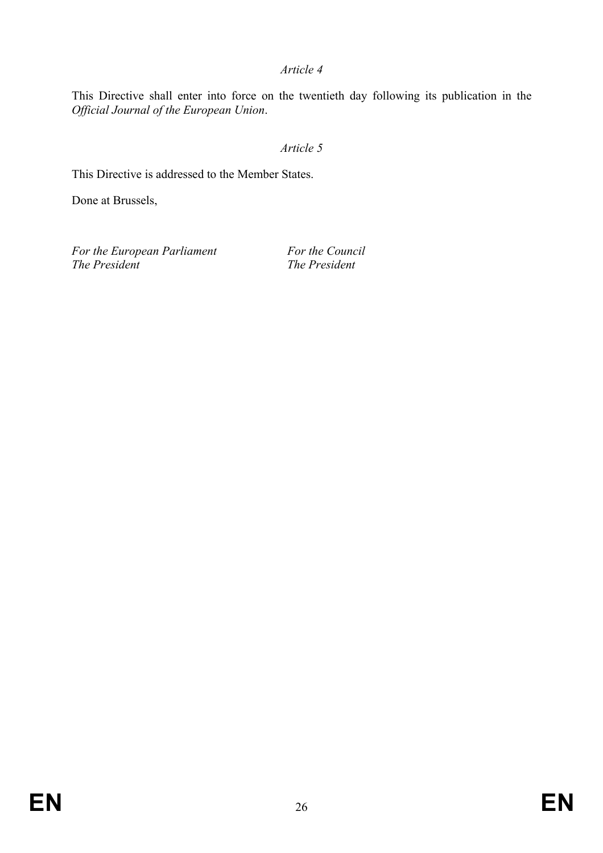*Article 4* 

This Directive shall enter into force on the twentieth day following its publication in the *Official Journal of the European Union*.

## *Article 5*

This Directive is addressed to the Member States.

Done at Brussels,

*For the European Parliament For the Council*<br>The President *The President The President*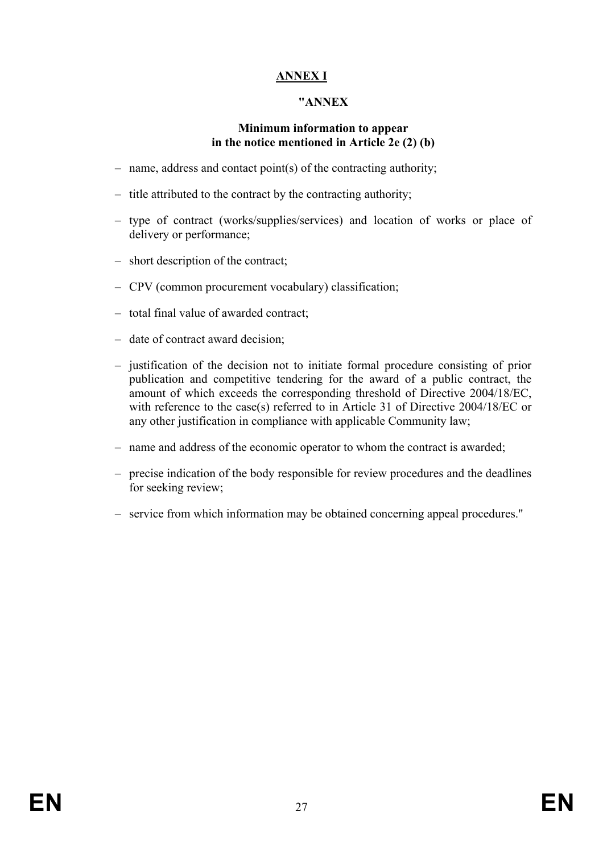# **ANNEX I**

#### **"ANNEX**

#### **Minimum information to appear in the notice mentioned in Article 2e (2) (b)**

- name, address and contact point(s) of the contracting authority;
- title attributed to the contract by the contracting authority;
- type of contract (works/supplies/services) and location of works or place of delivery or performance;
- short description of the contract;
- CPV (common procurement vocabulary) classification;
- total final value of awarded contract;
- date of contract award decision;
- justification of the decision not to initiate formal procedure consisting of prior publication and competitive tendering for the award of a public contract, the amount of which exceeds the corresponding threshold of Directive 2004/18/EC, with reference to the case(s) referred to in Article 31 of Directive 2004/18/EC or any other justification in compliance with applicable Community law;
- name and address of the economic operator to whom the contract is awarded;
- precise indication of the body responsible for review procedures and the deadlines for seeking review;
- service from which information may be obtained concerning appeal procedures."